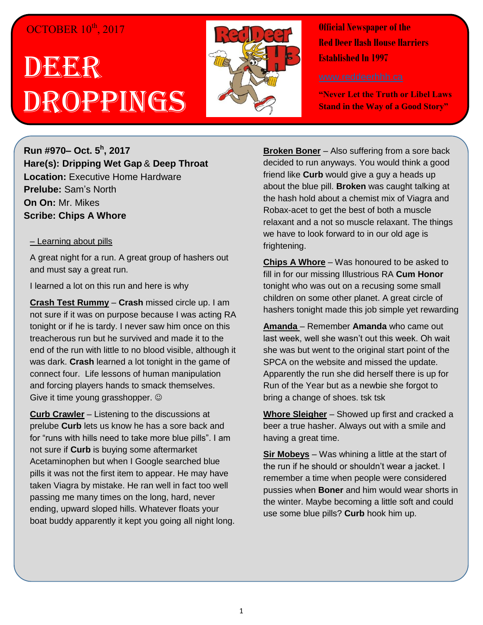## OCTOBER 10<sup>th</sup>, 2017

## DEER Droppings



**Official Newspaper of the Red Deer Hash House Harriers Established In 1997** 

**"Never Let the Truth or Libel Laws Stand in the Way of a Good Story"**

**Run #970– Oct. 5 h , 2017 Hare(s): Dripping Wet Gap** & **Deep Throat Location:** Executive Home Hardware **Prelube:** Sam's North **On On:** Mr. Mikes **Scribe: Chips A Whore**

## – Learning about pills

A great night for a run. A great group of hashers out and must say a great run.

I learned a lot on this run and here is why

**Crash Test Rummy** – **Crash** missed circle up. I am not sure if it was on purpose because I was acting RA tonight or if he is tardy. I never saw him once on this treacherous run but he survived and made it to the end of the run with little to no blood visible, although it was dark. **Crash** learned a lot tonight in the game of connect four. Life lessons of human manipulation and forcing players hands to smack themselves. Give it time young grasshopper.  $\odot$ 

**Curb Crawler** – Listening to the discussions at prelube **Curb** lets us know he has a sore back and for "runs with hills need to take more blue pills". I am not sure if **Curb** is buying some aftermarket Acetaminophen but when I Google searched blue pills it was not the first item to appear. He may have taken Viagra by mistake. He ran well in fact too well passing me many times on the long, hard, never ending, upward sloped hills. Whatever floats your boat buddy apparently it kept you going all night long. **Broken Boner** – Also suffering from a sore back decided to run anyways. You would think a good friend like **Curb** would give a guy a heads up about the blue pill. **Broken** was caught talking at the hash hold about a chemist mix of Viagra and Robax-acet to get the best of both a muscle relaxant and a not so muscle relaxant. The things we have to look forward to in our old age is frightening.

**Chips A Whore** – Was honoured to be asked to fill in for our missing Illustrious RA **Cum Honor** tonight who was out on a recusing some small children on some other planet. A great circle of hashers tonight made this job simple yet rewarding

**Amanda** – Remember **Amanda** who came out last week, well she wasn't out this week. Oh wait she was but went to the original start point of the SPCA on the website and missed the update. Apparently the run she did herself there is up for Run of the Year but as a newbie she forgot to bring a change of shoes. tsk tsk

**Whore Sleigher** – Showed up first and cracked a beer a true hasher. Always out with a smile and having a great time.

**Sir Mobeys** – Was whining a little at the start of the run if he should or shouldn't wear a jacket. I remember a time when people were considered pussies when **Boner** and him would wear shorts in the winter. Maybe becoming a little soft and could use some blue pills? **Curb** hook him up.